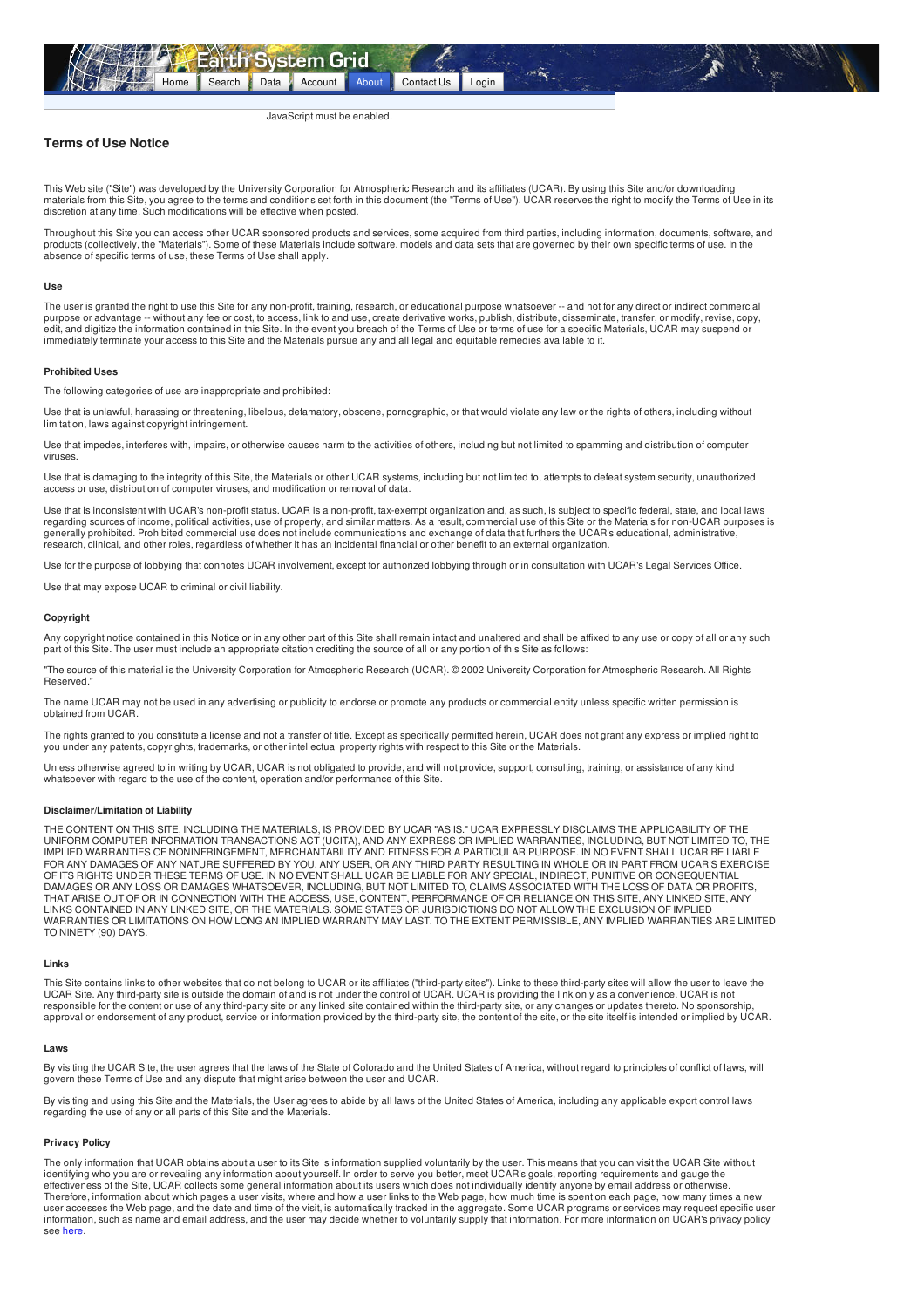<span id="page-0-0"></span>

## JavaScript must be enabled.

# **Terms of Use Notice**

This Web site ("Site") was developed by the University Corporation for Atmospheric Research and its affiliates (UCAR). By using this Site and/or downloading materials from this Site, you agree to the terms and conditions set forth in this document (the "Terms of Use"). UCAR reserves the right to modify the Terms of Use in its discretion at any time. Such modifications will be effective when posted.

Throughout this Site you can access other UCAR sponsored products and services, some acquired from third parties, including information, documents, software, and products (collectively, the "Materials"). Some of these Materials include software, models and data sets that are governed by their own specific terms of use. In the absence of specific terms of use, these Terms of Use shall apply.

#### **Use**

The user is granted the right to use this Site for any non-profit, training, research, or educational purpose whatsoever -- and not for any direct or indirect commercial purpose or advantage -- without any fee or cost, to access, link to and use, create derivative works, publish, distribute, disseminate, transfer, or modify, revise, copy, edit, and digitize the information contained in this Site. In the event you breach of the Terms of Use or terms of use for a specific Materials, UCAR may suspend or<br>immediately terminate your access to this Site and the Ma

## **Prohibited Uses**

The following categories of use are inappropriate and prohibited:

Use that is unlawful, harassing or threatening, libelous, defamatory, obscene, pornographic, or that would violate any law or the rights of others, including without limitation, laws against copyright infringement.

Use that impedes, interferes with, impairs, or otherwise causes harm to the activities of others, including but not limited to spamming and distribution of computer viruses.

Use that is damaging to the integrity of this Site, the Materials or other UCAR systems, including but not limited to, attempts to defeat system security, unauthorized access or use, distribution of computer viruses, and modification or removal of data.

Use that is inconsistent with UCAR's non-profit status. UCAR is a non-profit, tax-exempt organization and, as such, is subject to specific federal, state, and local laws regarding sources of income, political activities, use of property, and similar matters. As a result, commercial use of this Site or the Materials for non-UCAR purposes is generally prohibited. Prohibited commercial use does not include communications and exchange of data that furthers the UCAR's educational, administrative,<br>research, clinical, and other roles, regardless of whether it has a

Use for the purpose of lobbying that connotes UCAR involvement, except for authorized lobbying through or in consultation with UCAR's Legal Services Office.

Use that may expose UCAR to criminal or civil liability.

#### **Copyright**

Any copyright notice contained in this Notice or in any other part of this Site shall remain intact and unaltered and shall be affixed to any use or copy of all or any such part of this Site. The user must include an appropriate citation crediting the source of all or any portion of this Site as follows:

"The source of this material is the University Corporation for Atmospheric Research (UCAR). © 2002 University Corporation for Atmospheric Research. All Rights Reserved."

The name UCAR may not be used in any advertising or publicity to endorse or promote any products or commercial entity unless specific written permission is obtained from UCAR.

The rights granted to you constitute a license and not a transfer of title. Except as specifically permitted herein, UCAR does not grant any express or implied right to you under any patents, copyrights, trademarks, or other intellectual property rights with respect to this Site or the Materials.

Unless otherwise agreed to in writing by UCAR, UCAR is not obligated to provide, and will not provide, support, consulting, training, or assistance of any kind whatsoever with regard to the use of the content, operation and/or performance of this Site.

#### **Disclaimer/Limitation of Liability**

THE CONTENT ON THIS SITE, INCLUDING THE MATERIALS, IS PROVIDED BY UCAR "AS IS." UCAR EXPRESSLY DISCLAIMS THE APPLICABILITY OF THE UNIFORM COMPUTER INFORMATION TRANSACTIONS ACT (UCITA), AND ANY EXPRESS OR IMPLIED WARRANTIES, INCLUDING, BUT NOT LIMITED TO, THE<br>IMPLIED WARRANTIES OF NONINFRINGEMENT, MERCHANTABILITY AND FITNESS FOR A PARTICULAR PURPOSE. FOR ANY DAMAGES OF ANY NATURE SUFFERED BY YOU, ANY USER, OR ANY THIRD PARTY RESULTING IN WHOLE OR IN PART FROM UCAR'S EXERCISE OF ITS RIGHTS UNDER THESE TERMS OF USE. IN NO EVENT SHALL UCAR BE LIABLE FOR ANY SPECIAL, INDIRECT, PUNITIVE OR CONSEQUENTIAL DAMAGES OR ANY LOSS OR DAMAGES WHATSOEVER, INCLUDING, BUT NOT LIMITED TO, CLAIMS ASSOCIATED WITH THE LOSS OF DATA OR PROFITS,<br>THAT ARISE OUT OF OR IN CONNECTION WITH THE ACCESS, USE, CONTENT, PERFORMANCE OF OR RELIANCE ON LINKS CONTAINED IN ANY LINKED SITE, OR THE MATERIALS. SOME STATES OR JURISDICTIONS DO NOT ALLOW THE EXCLUSION OF IMPLIED<br>WARRANTIES OR LIMITATIONS ON HOW LONG AN IMPLIED WARRANTY MAY LAST. TO THE EXTENT PERMISSIBLE, ANY IM TO NINETY (90) DAYS.

#### **Links**

This Site contains links to other websites that do not belong to UCAR or its affiliates ("third-party sites"). Links to these third-party sites will allow the user to leave the<br>UCAR Site. Any third-party site is outside th responsible for the content or use of any third-party site or any linked site contained within the third-party site, or any changes or updates thereto. No sponsorship approval or endorsement of any product, service or information provided by the third-party site, the content of the site, or the site itself is intended or implied by UCAR.

#### **Laws**

By visiting the UCAR Site, the user agrees that the laws of the State of Colorado and the United States of America, without regard to principles of conflict of laws, will govern these Terms of Use and any dispute that might arise between the user and UCAR.

By visiting and using this Site and the Materials, the User agrees to abide by all laws of the United States of America, including any applicable export control laws regarding the use of any or all parts of this Site and the Materials.

# **Privacy Policy**

The only information that UCAR obtains about a user to its Site is information supplied voluntarily by the user. This means that you can visit the UCAR Site without<br>identifying who you are or revealing any information abou effectiveness of the Site, UCAR collects some general information about its users which does not individually identify anyone by email address or otherwise. Therefore, information about which pages a user visits, where and how a user links to the Web page, how much time is spent on each page, how many times a new<br>user accesses the Web page, and the date and time of the visit, information, such as name and email address, and the user may decide whether to voluntarily supply that information. For more information on UCAR's privacy policy see [here](https://www.earthsystemgrid.org/legal/privacy_policy.htm).